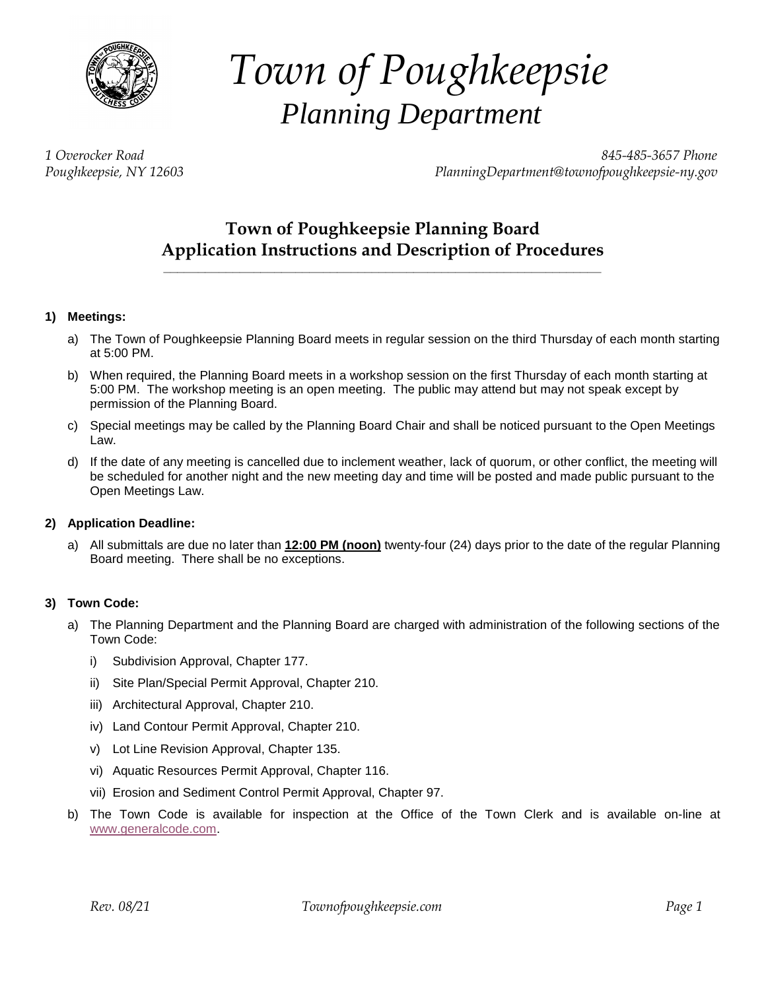

# *Town of Poughkeepsie Planning Department*

*1 Overocker Road 845-485-3657 Phone Poughkeepsie, NY 12603 [PlanningDepartment@townofpoughkeepsie-ny.gov](mailto:PlanningDepartment@townofpoughkeepsie-ny.gov)*

# **Town of Poughkeepsie Planning Board Application Instructions and Description of Procedures \_\_\_\_\_\_\_\_\_\_\_\_\_\_\_\_\_\_\_\_\_\_\_\_\_\_\_\_\_\_\_\_\_\_\_\_\_\_\_\_\_\_\_\_\_\_\_\_\_\_\_\_\_\_\_\_\_\_\_\_\_\_\_**

# **1) Meetings:**

- a) The Town of Poughkeepsie Planning Board meets in regular session on the third Thursday of each month starting at 5:00 PM.
- b) When required, the Planning Board meets in a workshop session on the first Thursday of each month starting at 5:00 PM. The workshop meeting is an open meeting. The public may attend but may not speak except by permission of the Planning Board.
- c) Special meetings may be called by the Planning Board Chair and shall be noticed pursuant to the Open Meetings Law.
- d) If the date of any meeting is cancelled due to inclement weather, lack of quorum, or other conflict, the meeting will be scheduled for another night and the new meeting day and time will be posted and made public pursuant to the Open Meetings Law.

# **2) Application Deadline:**

a) All submittals are due no later than **12:00 PM (noon)** twenty-four (24) days prior to the date of the regular Planning Board meeting. There shall be no exceptions.

# **3) Town Code:**

- a) The Planning Department and the Planning Board are charged with administration of the following sections of the Town Code:
	- i) Subdivision Approval, Chapter 177.
	- ii) Site Plan/Special Permit Approval, Chapter 210.
	- iii) Architectural Approval, Chapter 210.
	- iv) Land Contour Permit Approval, Chapter 210.
	- v) Lot Line Revision Approval, Chapter 135.
	- vi) Aquatic Resources Permit Approval, Chapter 116.
	- vii) Erosion and Sediment Control Permit Approval, Chapter 97.
- b) The Town Code is available for inspection at the Office of the Town Clerk and is available on-line at [www.generalcode.com.](http://www.generalcode.com/)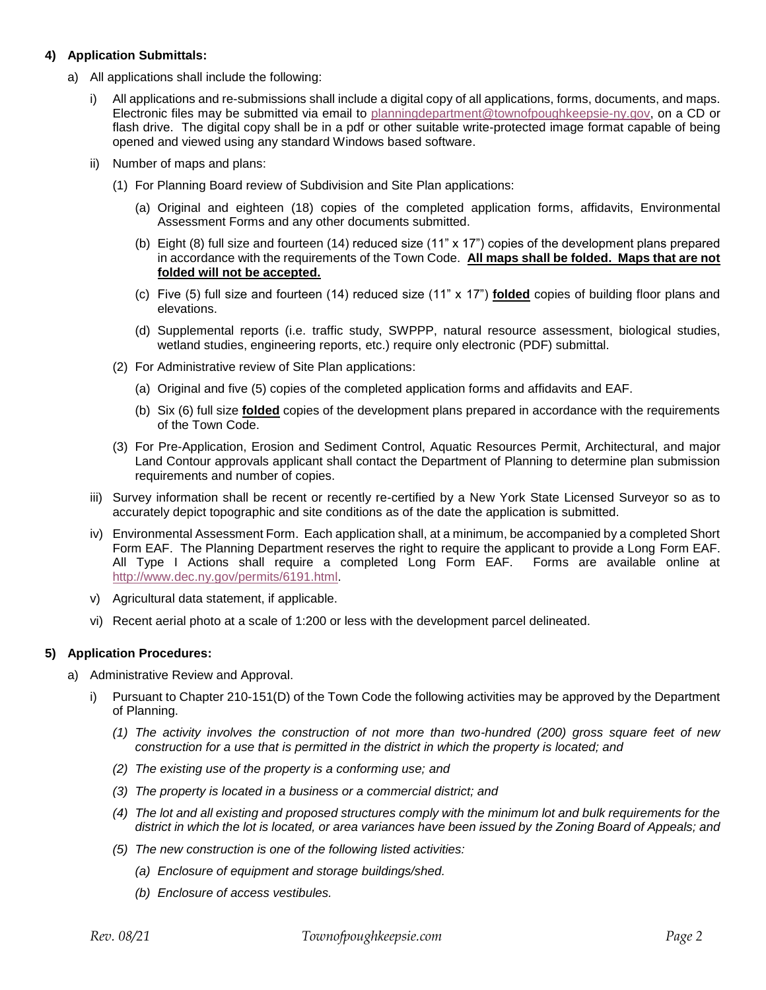# **4) Application Submittals:**

- a) All applications shall include the following:
	- All applications and re-submissions shall include a digital copy of all applications, forms, documents, and maps. Electronic files may be submitted via email to [planningdepartment@townofpoughkeepsie-ny.gov,](mailto:planningdepartment@townofpoughkeepsie-ny.gov) on a CD or flash drive. The digital copy shall be in a pdf or other suitable write-protected image format capable of being opened and viewed using any standard Windows based software.
	- ii) Number of maps and plans:
		- (1) For Planning Board review of Subdivision and Site Plan applications:
			- (a) Original and eighteen (18) copies of the completed application forms, affidavits, Environmental Assessment Forms and any other documents submitted.
			- (b) Eight (8) full size and fourteen (14) reduced size (11" x 17") copies of the development plans prepared in accordance with the requirements of the Town Code. **All maps shall be folded. Maps that are not folded will not be accepted.**
			- (c) Five (5) full size and fourteen (14) reduced size (11" x 17") **folded** copies of building floor plans and elevations.
			- (d) Supplemental reports (i.e. traffic study, SWPPP, natural resource assessment, biological studies, wetland studies, engineering reports, etc.) require only electronic (PDF) submittal.
		- (2) For Administrative review of Site Plan applications:
			- (a) Original and five (5) copies of the completed application forms and affidavits and EAF.
			- (b) Six (6) full size **folded** copies of the development plans prepared in accordance with the requirements of the Town Code.
		- (3) For Pre-Application, Erosion and Sediment Control, Aquatic Resources Permit, Architectural, and major Land Contour approvals applicant shall contact the Department of Planning to determine plan submission requirements and number of copies.
	- iii) Survey information shall be recent or recently re-certified by a New York State Licensed Surveyor so as to accurately depict topographic and site conditions as of the date the application is submitted.
	- iv) Environmental Assessment Form. Each application shall, at a minimum, be accompanied by a completed Short Form EAF. The Planning Department reserves the right to require the applicant to provide a Long Form EAF. All Type I Actions shall require a completed Long Form EAF. Forms are available online at [http://www.dec.ny.gov/permits/6191.html.](http://www.dec.ny.gov/permits/6191.html)
	- v) Agricultural data statement, if applicable.
	- vi) Recent aerial photo at a scale of 1:200 or less with the development parcel delineated.

# **5) Application Procedures:**

- a) Administrative Review and Approval.
	- i) Pursuant to Chapter 210-151(D) of the Town Code the following activities may be approved by the Department of Planning.
		- *(1) The activity involves the construction of not more than two-hundred (200) gross square feet of new construction for a use that is permitted in the district in which the property is located; and*
		- *(2) The existing use of the property is a conforming use; and*
		- *(3) The property is located in a business or a commercial district; and*
		- *(4) The lot and all existing and proposed structures comply with the minimum lot and bulk requirements for the district in which the lot is located, or area variances have been issued by the Zoning Board of Appeals; and*
		- *(5) The new construction is one of the following listed activities:*
			- *(a) Enclosure of equipment and storage buildings/shed.*
			- *(b) Enclosure of access vestibules.*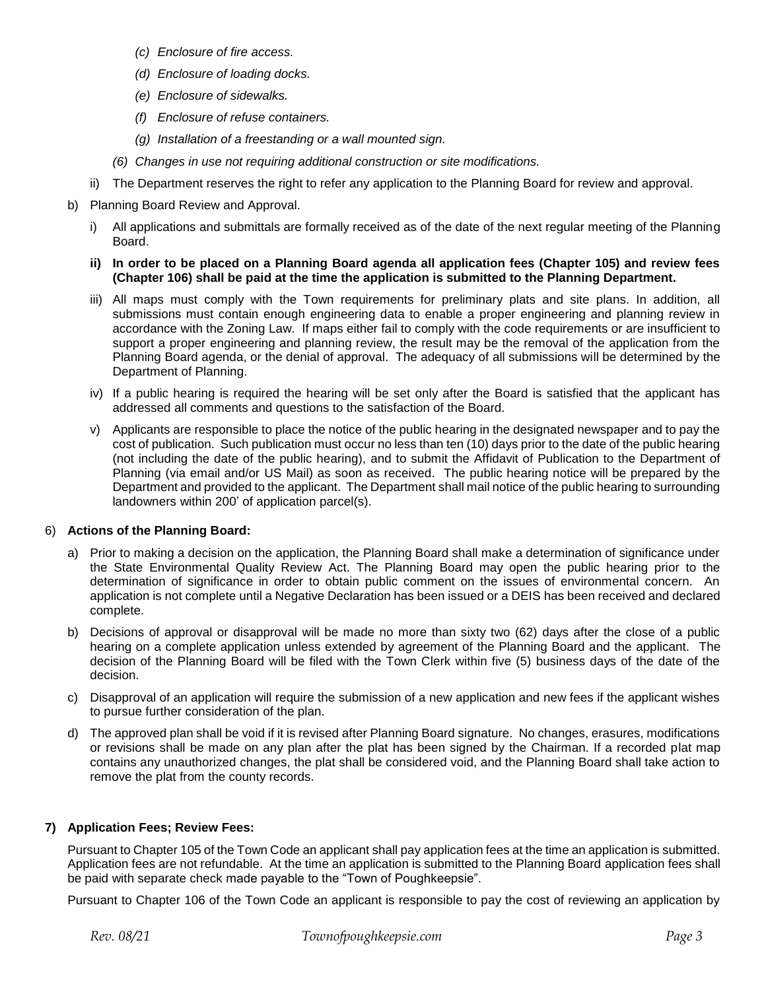- *(c) Enclosure of fire access.*
- *(d) Enclosure of loading docks.*
- *(e) Enclosure of sidewalks.*
- *(f) Enclosure of refuse containers.*
- *(g) Installation of a freestanding or a wall mounted sign.*
- *(6) Changes in use not requiring additional construction or site modifications.*
- ii) The Department reserves the right to refer any application to the Planning Board for review and approval.
- b) Planning Board Review and Approval.
	- i) All applications and submittals are formally received as of the date of the next regular meeting of the Planning Board.
	- **ii) In order to be placed on a Planning Board agenda all application fees (Chapter 105) and review fees (Chapter 106) shall be paid at the time the application is submitted to the Planning Department.**
	- iii) All maps must comply with the Town requirements for preliminary plats and site plans. In addition, all submissions must contain enough engineering data to enable a proper engineering and planning review in accordance with the Zoning Law. If maps either fail to comply with the code requirements or are insufficient to support a proper engineering and planning review, the result may be the removal of the application from the Planning Board agenda, or the denial of approval. The adequacy of all submissions will be determined by the Department of Planning.
	- iv) If a public hearing is required the hearing will be set only after the Board is satisfied that the applicant has addressed all comments and questions to the satisfaction of the Board.
	- v) Applicants are responsible to place the notice of the public hearing in the designated newspaper and to pay the cost of publication. Such publication must occur no less than ten (10) days prior to the date of the public hearing (not including the date of the public hearing), and to submit the Affidavit of Publication to the Department of Planning (via email and/or US Mail) as soon as received. The public hearing notice will be prepared by the Department and provided to the applicant. The Department shall mail notice of the public hearing to surrounding landowners within 200' of application parcel(s).

#### 6) **Actions of the Planning Board:**

- a) Prior to making a decision on the application, the Planning Board shall make a determination of significance under the State Environmental Quality Review Act. The Planning Board may open the public hearing prior to the determination of significance in order to obtain public comment on the issues of environmental concern. An application is not complete until a Negative Declaration has been issued or a DEIS has been received and declared complete.
- b) Decisions of approval or disapproval will be made no more than sixty two (62) days after the close of a public hearing on a complete application unless extended by agreement of the Planning Board and the applicant. The decision of the Planning Board will be filed with the Town Clerk within five (5) business days of the date of the decision.
- c) Disapproval of an application will require the submission of a new application and new fees if the applicant wishes to pursue further consideration of the plan.
- d) The approved plan shall be void if it is revised after Planning Board signature. No changes, erasures, modifications or revisions shall be made on any plan after the plat has been signed by the Chairman. If a recorded plat map contains any unauthorized changes, the plat shall be considered void, and the Planning Board shall take action to remove the plat from the county records.

# **7) Application Fees; Review Fees:**

Pursuant to Chapter 105 of the Town Code an applicant shall pay application fees at the time an application is submitted. Application fees are not refundable. At the time an application is submitted to the Planning Board application fees shall be paid with separate check made payable to the "Town of Poughkeepsie".

Pursuant to Chapter 106 of the Town Code an applicant is responsible to pay the cost of reviewing an application by